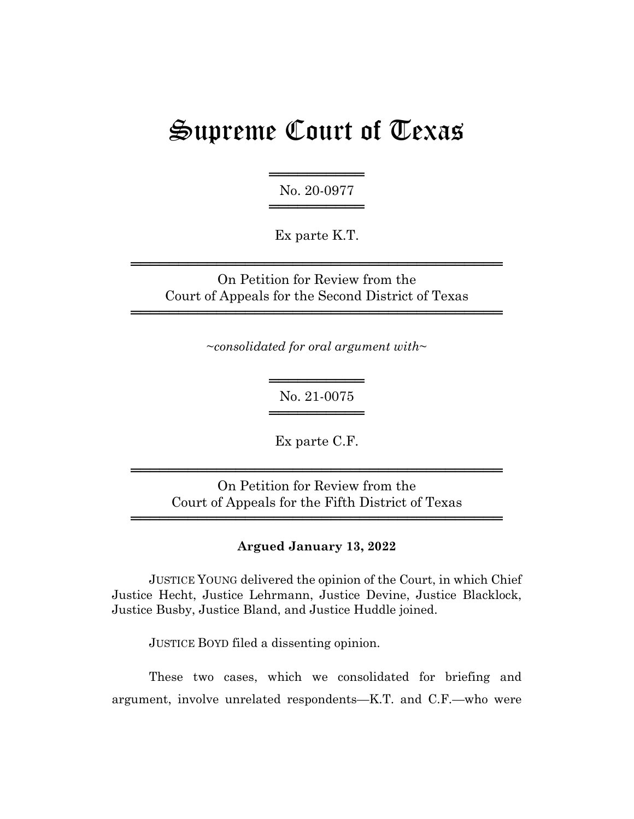# Supreme Court of Texas

══════════ No. 20-0977 ═══════════════════

Ex parte K.T.

On Petition for Review from the Court of Appeals for the Second District of Texas

═══════════════════════════════════════

═══════════════════════════════════════

~*consolidated for oral argument with*~

══════════ No. 21-0075 ══════════

Ex parte C.F.

On Petition for Review from the Court of Appeals for the Fifth District of Texas

═══════════════════════════════════════

═══════════════════════════════════════

### **Argued January 13, 2022**

JUSTICE YOUNG delivered the opinion of the Court, in which Chief Justice Hecht, Justice Lehrmann, Justice Devine, Justice Blacklock, Justice Busby, Justice Bland, and Justice Huddle joined.

JUSTICE BOYD filed a dissenting opinion.

These two cases, which we consolidated for briefing and argument, involve unrelated respondents—K.T. and C.F.—who were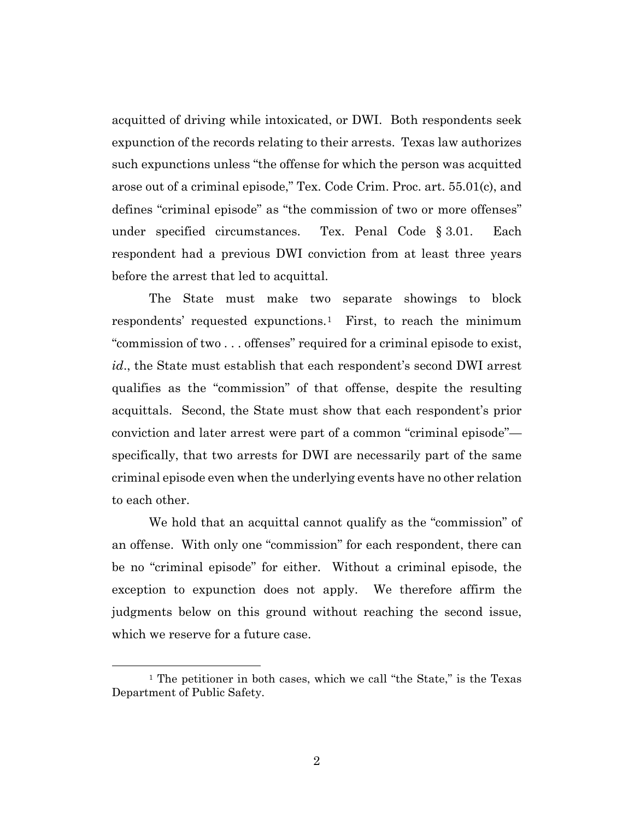acquitted of driving while intoxicated, or DWI. Both respondents seek expunction of the records relating to their arrests. Texas law authorizes such expunctions unless "the offense for which the person was acquitted arose out of a criminal episode," Tex. Code Crim. Proc. art. 55.01(c), and defines "criminal episode" as "the commission of two or more offenses" under specified circumstances. Tex. Penal Code § 3.01. Each respondent had a previous DWI conviction from at least three years before the arrest that led to acquittal.

The State must make two separate showings to block respondents' requested expunctions.1 First, to reach the minimum "commission of two . . . offenses" required for a criminal episode to exist, *id*., the State must establish that each respondent's second DWI arrest qualifies as the "commission" of that offense, despite the resulting acquittals. Second, the State must show that each respondent's prior conviction and later arrest were part of a common "criminal episode" specifically, that two arrests for DWI are necessarily part of the same criminal episode even when the underlying events have no other relation to each other.

We hold that an acquittal cannot qualify as the "commission" of an offense. With only one "commission" for each respondent, there can be no "criminal episode" for either. Without a criminal episode, the exception to expunction does not apply. We therefore affirm the judgments below on this ground without reaching the second issue, which we reserve for a future case.

<sup>&</sup>lt;sup>1</sup> The petitioner in both cases, which we call "the State," is the Texas Department of Public Safety.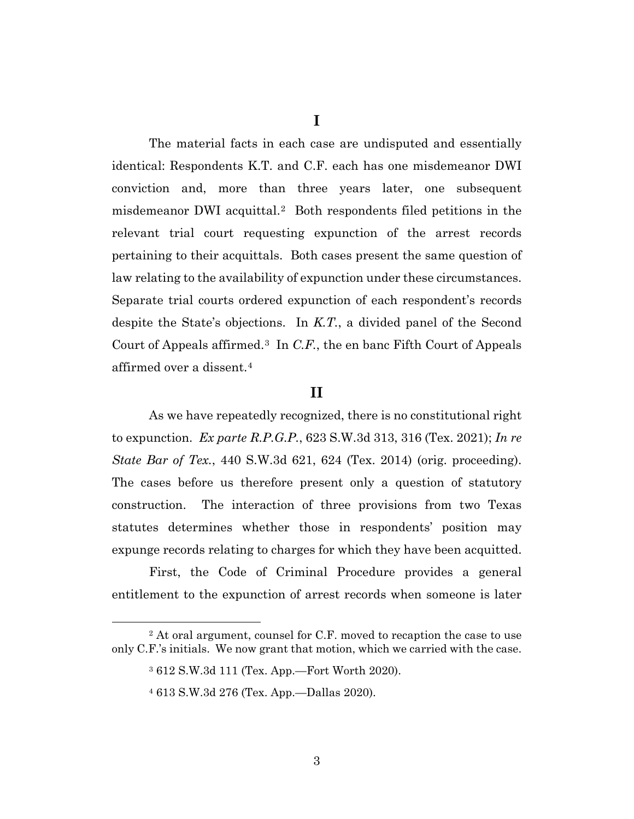**I**

The material facts in each case are undisputed and essentially identical: Respondents K.T. and C.F. each has one misdemeanor DWI conviction and, more than three years later, one subsequent misdemeanor DWI acquittal.2 Both respondents filed petitions in the relevant trial court requesting expunction of the arrest records pertaining to their acquittals. Both cases present the same question of law relating to the availability of expunction under these circumstances. Separate trial courts ordered expunction of each respondent's records despite the State's objections. In *K.T.*, a divided panel of the Second Court of Appeals affirmed.3 In *C.F.*, the en banc Fifth Court of Appeals affirmed over a dissent.4

### **II**

As we have repeatedly recognized, there is no constitutional right to expunction. *Ex parte R.P.G.P.*, 623 S.W.3d 313, 316 (Tex. 2021); *In re State Bar of Tex.*, 440 S.W.3d 621, 624 (Tex. 2014) (orig. proceeding). The cases before us therefore present only a question of statutory construction. The interaction of three provisions from two Texas statutes determines whether those in respondents' position may expunge records relating to charges for which they have been acquitted.

First, the Code of Criminal Procedure provides a general entitlement to the expunction of arrest records when someone is later

<sup>2</sup> At oral argument, counsel for C.F. moved to recaption the case to use only C.F.'s initials. We now grant that motion, which we carried with the case.

<sup>3</sup> 612 S.W.3d 111 (Tex. App.—Fort Worth 2020).

<sup>4</sup> 613 S.W.3d 276 (Tex. App.—Dallas 2020).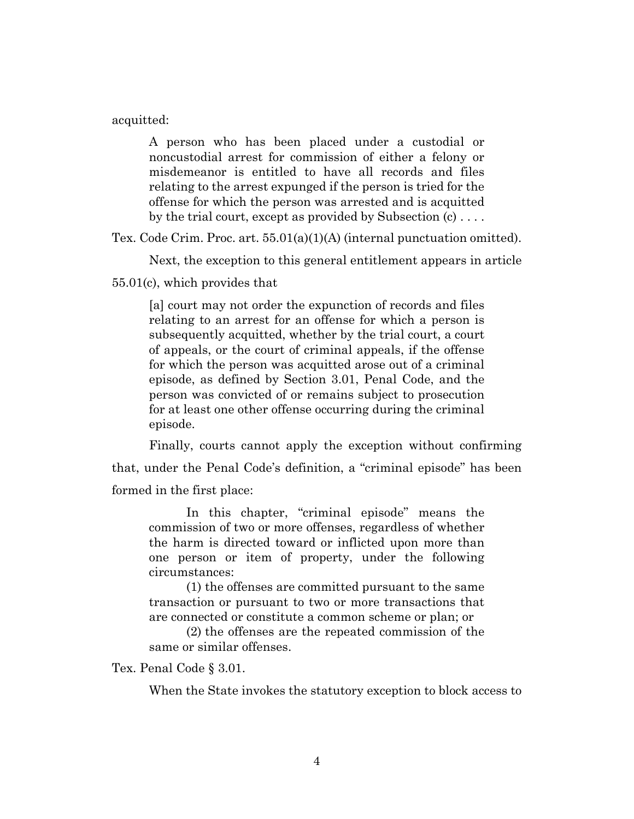acquitted:

A person who has been placed under a custodial or noncustodial arrest for commission of either a felony or misdemeanor is entitled to have all records and files relating to the arrest expunged if the person is tried for the offense for which the person was arrested and is acquitted by the trial court, except as provided by Subsection (c) . . . .

Tex. Code Crim. Proc. art. 55.01(a)(1)(A) (internal punctuation omitted).

Next, the exception to this general entitlement appears in article

55.01(c), which provides that

[a] court may not order the expunction of records and files relating to an arrest for an offense for which a person is subsequently acquitted, whether by the trial court, a court of appeals, or the court of criminal appeals, if the offense for which the person was acquitted arose out of a criminal episode, as defined by Section 3.01, Penal Code, and the person was convicted of or remains subject to prosecution for at least one other offense occurring during the criminal episode.

Finally, courts cannot apply the exception without confirming that, under the Penal Code's definition, a "criminal episode" has been formed in the first place:

In this chapter, "criminal episode" means the commission of two or more offenses, regardless of whether the harm is directed toward or inflicted upon more than one person or item of property, under the following circumstances:

(1) the offenses are committed pursuant to the same transaction or pursuant to two or more transactions that are connected or constitute a common scheme or plan; or

(2) the offenses are the repeated commission of the same or similar offenses.

Tex. Penal Code § 3.01.

When the State invokes the statutory exception to block access to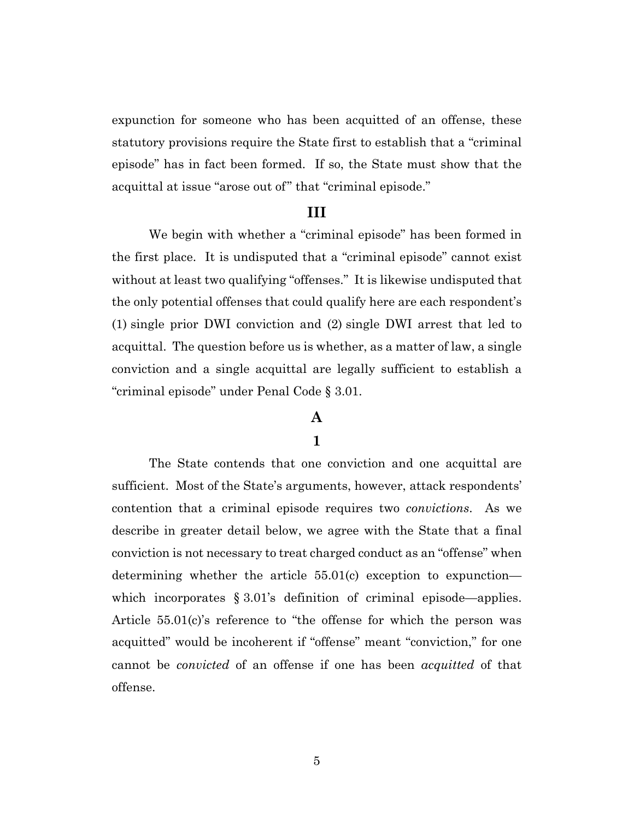expunction for someone who has been acquitted of an offense, these statutory provisions require the State first to establish that a "criminal episode" has in fact been formed. If so, the State must show that the acquittal at issue "arose out of" that "criminal episode."

#### **III**

We begin with whether a "criminal episode" has been formed in the first place. It is undisputed that a "criminal episode" cannot exist without at least two qualifying "offenses." It is likewise undisputed that the only potential offenses that could qualify here are each respondent's (1) single prior DWI conviction and (2) single DWI arrest that led to acquittal. The question before us is whether, as a matter of law, a single conviction and a single acquittal are legally sufficient to establish a "criminal episode" under Penal Code § 3.01.

# **A**

### **1**

The State contends that one conviction and one acquittal are sufficient. Most of the State's arguments, however, attack respondents' contention that a criminal episode requires two *convictions*. As we describe in greater detail below, we agree with the State that a final conviction is not necessary to treat charged conduct as an "offense" when determining whether the article 55.01(c) exception to expunction which incorporates § 3.01's definition of criminal episode—applies. Article 55.01(c)'s reference to "the offense for which the person was acquitted" would be incoherent if "offense" meant "conviction," for one cannot be *convicted* of an offense if one has been *acquitted* of that offense.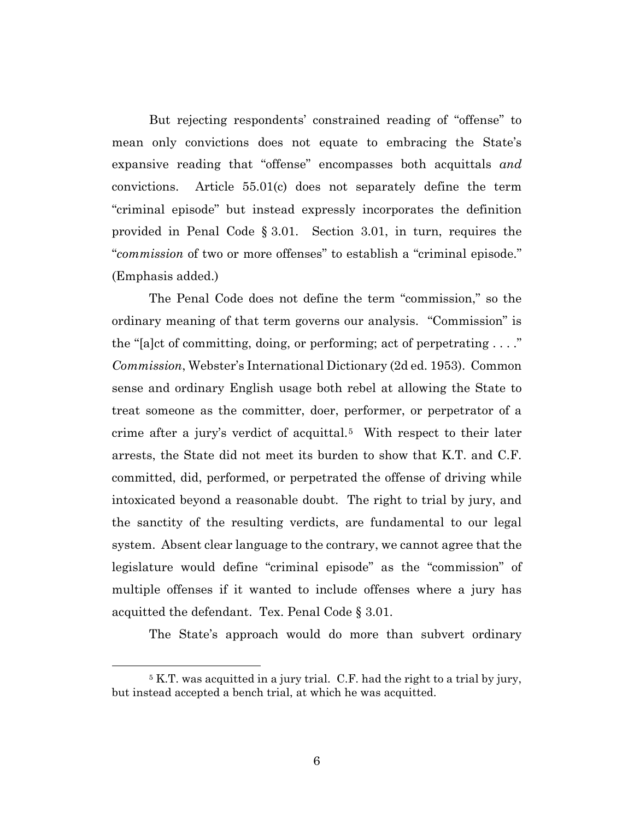But rejecting respondents' constrained reading of "offense" to mean only convictions does not equate to embracing the State's expansive reading that "offense" encompasses both acquittals *and* convictions. Article 55.01(c) does not separately define the term "criminal episode" but instead expressly incorporates the definition provided in Penal Code § 3.01. Section 3.01, in turn, requires the "*commission* of two or more offenses" to establish a "criminal episode." (Emphasis added.)

The Penal Code does not define the term "commission," so the ordinary meaning of that term governs our analysis. "Commission" is the "[a]ct of committing, doing, or performing; act of perpetrating  $\dots$ " *Commission*, Webster's International Dictionary (2d ed. 1953). Common sense and ordinary English usage both rebel at allowing the State to treat someone as the committer, doer, performer, or perpetrator of a crime after a jury's verdict of acquittal.<sup>5</sup> With respect to their later arrests, the State did not meet its burden to show that K.T. and C.F. committed, did, performed, or perpetrated the offense of driving while intoxicated beyond a reasonable doubt. The right to trial by jury, and the sanctity of the resulting verdicts, are fundamental to our legal system. Absent clear language to the contrary, we cannot agree that the legislature would define "criminal episode" as the "commission" of multiple offenses if it wanted to include offenses where a jury has acquitted the defendant. Tex. Penal Code § 3.01.

The State's approach would do more than subvert ordinary

<sup>5</sup> K.T. was acquitted in a jury trial. C.F. had the right to a trial by jury, but instead accepted a bench trial, at which he was acquitted.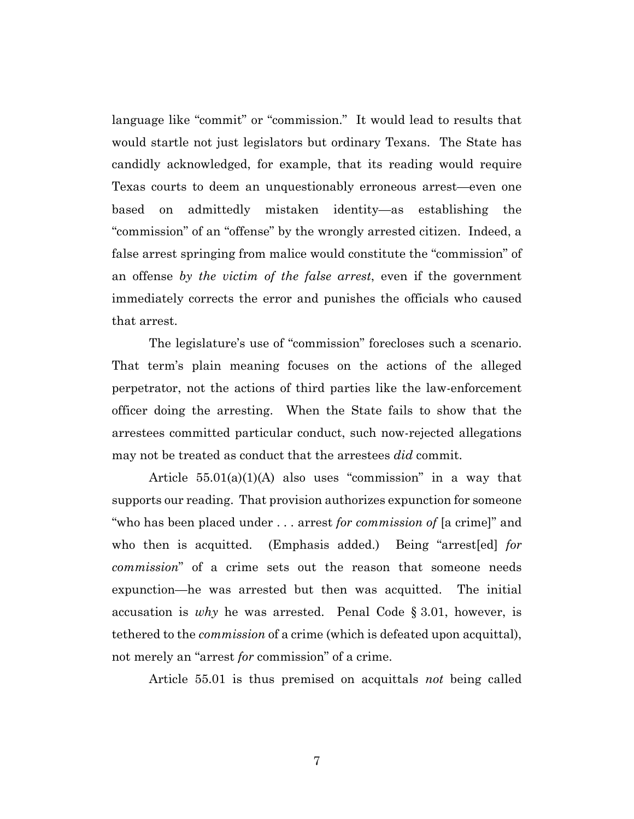language like "commit" or "commission." It would lead to results that would startle not just legislators but ordinary Texans. The State has candidly acknowledged, for example, that its reading would require Texas courts to deem an unquestionably erroneous arrest—even one based on admittedly mistaken identity—as establishing the "commission" of an "offense" by the wrongly arrested citizen. Indeed, a false arrest springing from malice would constitute the "commission" of an offense *by the victim of the false arrest*, even if the government immediately corrects the error and punishes the officials who caused that arrest.

The legislature's use of "commission" forecloses such a scenario. That term's plain meaning focuses on the actions of the alleged perpetrator, not the actions of third parties like the law-enforcement officer doing the arresting. When the State fails to show that the arrestees committed particular conduct, such now-rejected allegations may not be treated as conduct that the arrestees *did* commit.

Article  $55.01(a)(1)(A)$  also uses "commission" in a way that supports our reading. That provision authorizes expunction for someone "who has been placed under . . . arrest *for commission of* [a crime]" and who then is acquitted. (Emphasis added.) Being "arrest[ed] *for commission*" of a crime sets out the reason that someone needs expunction—he was arrested but then was acquitted. The initial accusation is *why* he was arrested. Penal Code § 3.01, however, is tethered to the *commission* of a crime (which is defeated upon acquittal), not merely an "arrest *for* commission" of a crime.

Article 55.01 is thus premised on acquittals *not* being called

7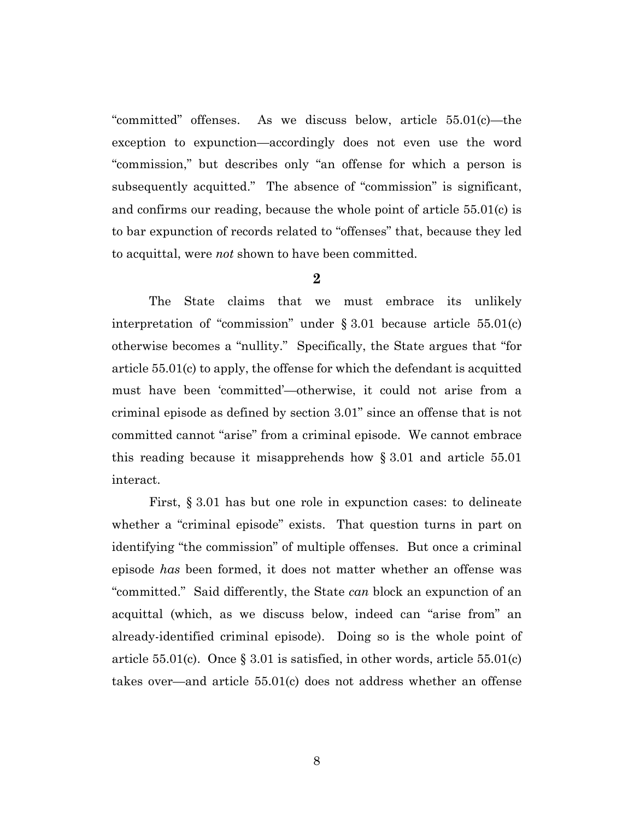"committed" offenses. As we discuss below, article 55.01(c)—the exception to expunction—accordingly does not even use the word "commission," but describes only "an offense for which a person is subsequently acquitted." The absence of "commission" is significant, and confirms our reading, because the whole point of article 55.01(c) is to bar expunction of records related to "offenses" that, because they led to acquittal, were *not* shown to have been committed.

**2**

The State claims that we must embrace its unlikely interpretation of "commission" under  $\S 3.01$  because article 55.01(c) otherwise becomes a "nullity." Specifically, the State argues that "for article 55.01(c) to apply, the offense for which the defendant is acquitted must have been 'committed'—otherwise, it could not arise from a criminal episode as defined by section 3.01" since an offense that is not committed cannot "arise" from a criminal episode. We cannot embrace this reading because it misapprehends how § 3.01 and article 55.01 interact.

First, § 3.01 has but one role in expunction cases: to delineate whether a "criminal episode" exists. That question turns in part on identifying "the commission" of multiple offenses. But once a criminal episode *has* been formed, it does not matter whether an offense was "committed." Said differently, the State *can* block an expunction of an acquittal (which, as we discuss below, indeed can "arise from" an already-identified criminal episode). Doing so is the whole point of article 55.01(c). Once  $\S 3.01$  is satisfied, in other words, article 55.01(c) takes over—and article 55.01(c) does not address whether an offense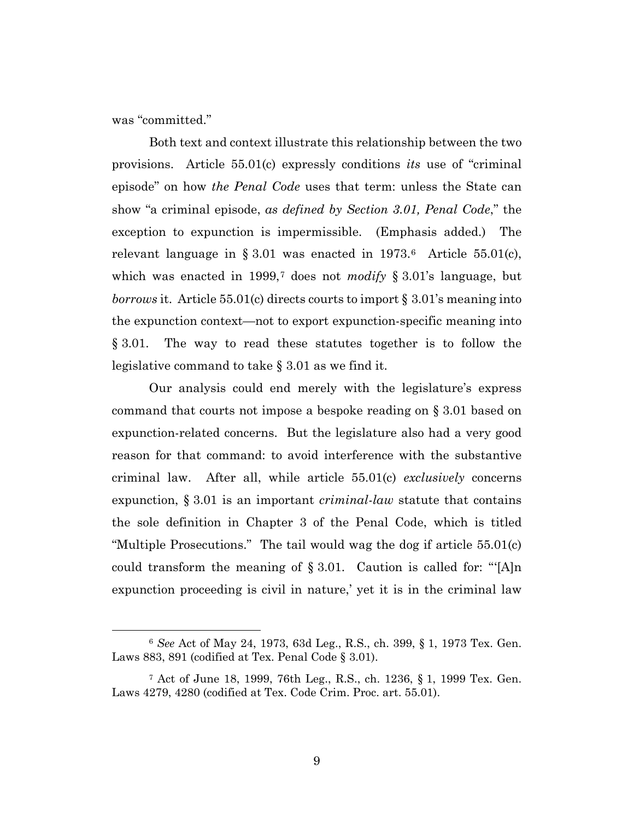was "committed."

Both text and context illustrate this relationship between the two provisions. Article 55.01(c) expressly conditions *its* use of "criminal episode" on how *the Penal Code* uses that term: unless the State can show "a criminal episode, *as defined by Section 3.01, Penal Code*," the exception to expunction is impermissible. (Emphasis added.) The relevant language in § 3.01 was enacted in  $1973.6$  Article 55.01(c), which was enacted in 1999,7 does not *modify* § 3.01's language, but *borrows* it. Article 55.01(c) directs courts to import § 3.01's meaning into the expunction context—not to export expunction-specific meaning into § 3.01. The way to read these statutes together is to follow the legislative command to take § 3.01 as we find it.

Our analysis could end merely with the legislature's express command that courts not impose a bespoke reading on § 3.01 based on expunction-related concerns. But the legislature also had a very good reason for that command: to avoid interference with the substantive criminal law. After all, while article 55.01(c) *exclusively* concerns expunction, § 3.01 is an important *criminal-law* statute that contains the sole definition in Chapter 3 of the Penal Code, which is titled "Multiple Prosecutions." The tail would wag the dog if article 55.01(c) could transform the meaning of  $\S 3.01$ . Caution is called for: "[A]n expunction proceeding is civil in nature,' yet it is in the criminal law

<sup>6</sup> *See* Act of May 24, 1973, 63d Leg., R.S., ch. 399, § 1, 1973 Tex. Gen. Laws 883, 891 (codified at Tex. Penal Code  $\S 3.01$ ).

<sup>7</sup> Act of June 18, 1999, 76th Leg., R.S., ch. 1236, § 1, 1999 Tex. Gen. Laws 4279, 4280 (codified at Tex. Code Crim. Proc. art. 55.01).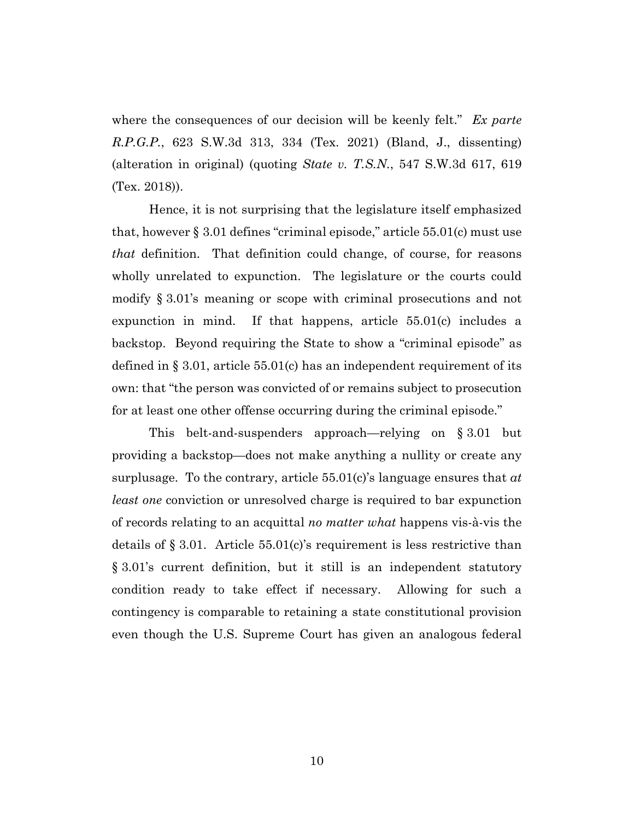where the consequences of our decision will be keenly felt." *Ex parte R.P.G.P.*, 623 S.W.3d 313, 334 (Tex. 2021) (Bland, J., dissenting) (alteration in original) (quoting *State v. T.S.N.*, 547 S.W.3d 617, 619 (Tex. 2018)).

Hence, it is not surprising that the legislature itself emphasized that, however § 3.01 defines "criminal episode," article 55.01(c) must use *that* definition. That definition could change, of course, for reasons wholly unrelated to expunction. The legislature or the courts could modify § 3.01's meaning or scope with criminal prosecutions and not expunction in mind. If that happens, article 55.01(c) includes a backstop. Beyond requiring the State to show a "criminal episode" as defined in  $\S 3.01$ , article 55.01(c) has an independent requirement of its own: that "the person was convicted of or remains subject to prosecution for at least one other offense occurring during the criminal episode."

This belt-and-suspenders approach—relying on § 3.01 but providing a backstop—does not make anything a nullity or create any surplusage. To the contrary, article 55.01(c)'s language ensures that *at least one* conviction or unresolved charge is required to bar expunction of records relating to an acquittal *no matter what* happens vis-à-vis the details of  $\S 3.01$ . Article 55.01(c)'s requirement is less restrictive than § 3.01's current definition, but it still is an independent statutory condition ready to take effect if necessary. Allowing for such a contingency is comparable to retaining a state constitutional provision even though the U.S. Supreme Court has given an analogous federal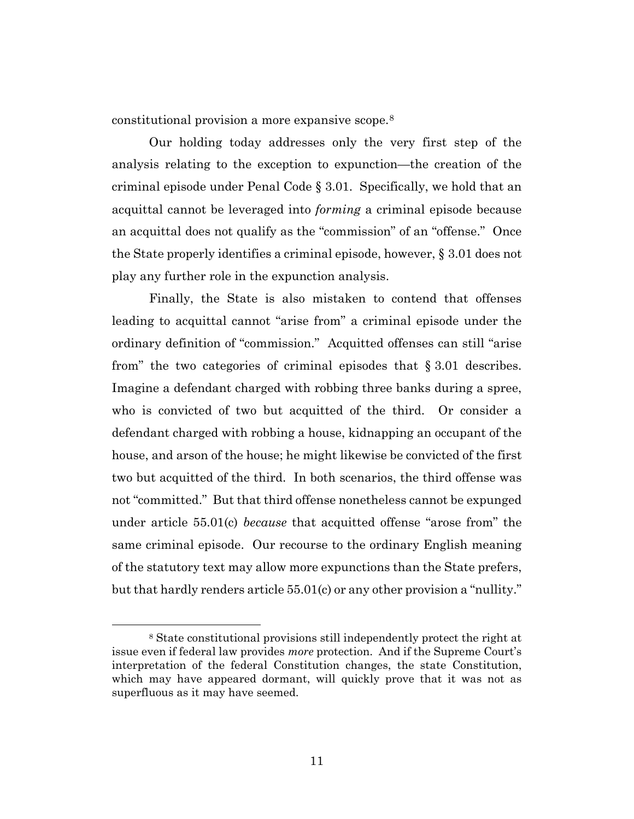constitutional provision a more expansive scope.8

Our holding today addresses only the very first step of the analysis relating to the exception to expunction—the creation of the criminal episode under Penal Code § 3.01. Specifically, we hold that an acquittal cannot be leveraged into *forming* a criminal episode because an acquittal does not qualify as the "commission" of an "offense." Once the State properly identifies a criminal episode, however, § 3.01 does not play any further role in the expunction analysis.

Finally, the State is also mistaken to contend that offenses leading to acquittal cannot "arise from" a criminal episode under the ordinary definition of "commission." Acquitted offenses can still "arise from" the two categories of criminal episodes that § 3.01 describes. Imagine a defendant charged with robbing three banks during a spree, who is convicted of two but acquitted of the third. Or consider a defendant charged with robbing a house, kidnapping an occupant of the house, and arson of the house; he might likewise be convicted of the first two but acquitted of the third. In both scenarios, the third offense was not "committed." But that third offense nonetheless cannot be expunged under article 55.01(c) *because* that acquitted offense "arose from" the same criminal episode. Our recourse to the ordinary English meaning of the statutory text may allow more expunctions than the State prefers, but that hardly renders article 55.01(c) or any other provision a "nullity."

<sup>8</sup> State constitutional provisions still independently protect the right at issue even if federal law provides *more* protection. And if the Supreme Court's interpretation of the federal Constitution changes, the state Constitution, which may have appeared dormant, will quickly prove that it was not as superfluous as it may have seemed.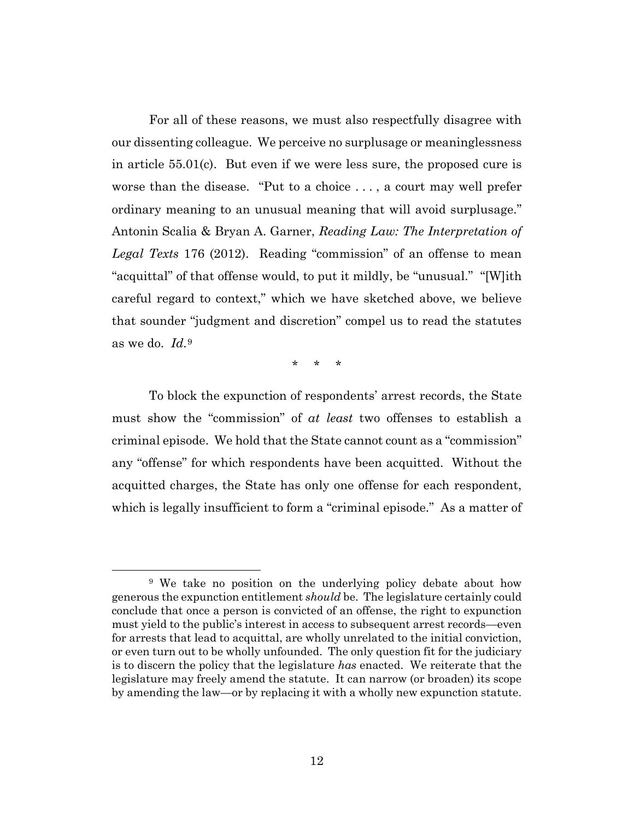For all of these reasons, we must also respectfully disagree with our dissenting colleague. We perceive no surplusage or meaninglessness in article 55.01(c). But even if we were less sure, the proposed cure is worse than the disease. "Put to a choice . . . , a court may well prefer ordinary meaning to an unusual meaning that will avoid surplusage." Antonin Scalia & Bryan A. Garner, *Reading Law: The Interpretation of Legal Texts* 176 (2012). Reading "commission" of an offense to mean "acquittal" of that offense would, to put it mildly, be "unusual." "[W]ith careful regard to context," which we have sketched above, we believe that sounder "judgment and discretion" compel us to read the statutes as we do. *Id.*<sup>9</sup>

\* \* \*

To block the expunction of respondents' arrest records, the State must show the "commission" of *at least* two offenses to establish a criminal episode. We hold that the State cannot count as a "commission" any "offense" for which respondents have been acquitted. Without the acquitted charges, the State has only one offense for each respondent, which is legally insufficient to form a "criminal episode." As a matter of

<sup>9</sup> We take no position on the underlying policy debate about how generous the expunction entitlement *should* be. The legislature certainly could conclude that once a person is convicted of an offense, the right to expunction must yield to the public's interest in access to subsequent arrest records—even for arrests that lead to acquittal, are wholly unrelated to the initial conviction, or even turn out to be wholly unfounded. The only question fit for the judiciary is to discern the policy that the legislature *has* enacted. We reiterate that the legislature may freely amend the statute. It can narrow (or broaden) its scope by amending the law—or by replacing it with a wholly new expunction statute.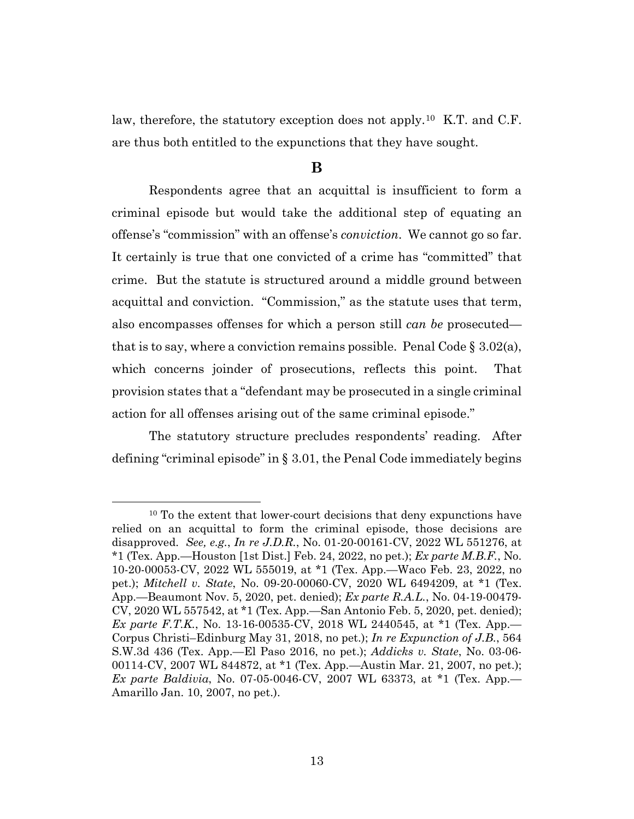law, therefore, the statutory exception does not apply.10 K.T. and C.F. are thus both entitled to the expunctions that they have sought.

#### **B**

Respondents agree that an acquittal is insufficient to form a criminal episode but would take the additional step of equating an offense's "commission" with an offense's *conviction*. We cannot go so far. It certainly is true that one convicted of a crime has "committed" that crime. But the statute is structured around a middle ground between acquittal and conviction. "Commission," as the statute uses that term, also encompasses offenses for which a person still *can be* prosecuted that is to say, where a conviction remains possible. Penal Code  $\S 3.02(a)$ , which concerns joinder of prosecutions, reflects this point. That provision states that a "defendant may be prosecuted in a single criminal action for all offenses arising out of the same criminal episode."

The statutory structure precludes respondents' reading. After defining "criminal episode" in § 3.01, the Penal Code immediately begins

<sup>&</sup>lt;sup>10</sup> To the extent that lower-court decisions that deny expunctions have relied on an acquittal to form the criminal episode, those decisions are disapproved. *See, e.g.*, *In re J.D.R.*, No. 01-20-00161-CV, 2022 WL 551276, at \*1 (Tex. App.—Houston [1st Dist.] Feb. 24, 2022, no pet.); *Ex parte M.B.F.*, No. 10-20-00053-CV, 2022 WL 555019, at \*1 (Tex. App.—Waco Feb. 23, 2022, no pet.); *Mitchell v. State*, No. 09-20-00060-CV, 2020 WL 6494209, at \*1 (Tex. App.—Beaumont Nov. 5, 2020, pet. denied); *Ex parte R.A.L.*, No. 04-19-00479- CV, 2020 WL 557542, at \*1 (Tex. App.—San Antonio Feb. 5, 2020, pet. denied); *Ex parte F.T.K.*, No. 13-16-00535-CV, 2018 WL 2440545, at \*1 (Tex. App.— Corpus Christi–Edinburg May 31, 2018, no pet.); *In re Expunction of J.B.*, 564 S.W.3d 436 (Tex. App.—El Paso 2016, no pet.); *Addicks v. State*, No. 03-06- 00114-CV, 2007 WL 844872, at \*1 (Tex. App.—Austin Mar. 21, 2007, no pet.); *Ex parte Baldivia*, No. 07-05-0046-CV, 2007 WL 63373, at \*1 (Tex. App.— Amarillo Jan. 10, 2007, no pet.).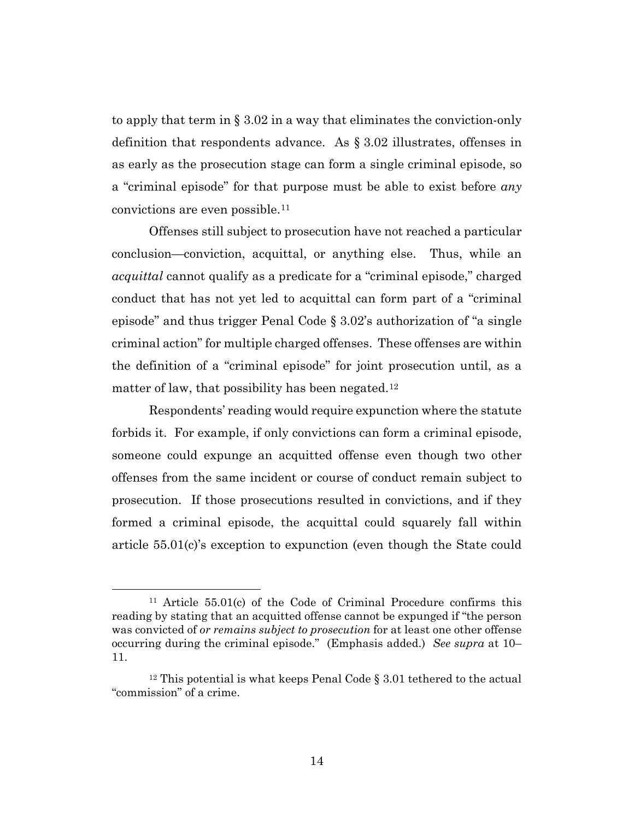to apply that term in § 3.02 in a way that eliminates the conviction-only definition that respondents advance. As § 3.02 illustrates, offenses in as early as the prosecution stage can form a single criminal episode, so a "criminal episode" for that purpose must be able to exist before *any* convictions are even possible.11

Offenses still subject to prosecution have not reached a particular conclusion—conviction, acquittal, or anything else. Thus, while an *acquittal* cannot qualify as a predicate for a "criminal episode," charged conduct that has not yet led to acquittal can form part of a "criminal episode" and thus trigger Penal Code § 3.02's authorization of "a single criminal action" for multiple charged offenses. These offenses are within the definition of a "criminal episode" for joint prosecution until, as a matter of law, that possibility has been negated.<sup>12</sup>

Respondents' reading would require expunction where the statute forbids it. For example, if only convictions can form a criminal episode, someone could expunge an acquitted offense even though two other offenses from the same incident or course of conduct remain subject to prosecution. If those prosecutions resulted in convictions, and if they formed a criminal episode, the acquittal could squarely fall within article 55.01(c)'s exception to expunction (even though the State could

<sup>11</sup> Article 55.01(c) of the Code of Criminal Procedure confirms this reading by stating that an acquitted offense cannot be expunged if "the person was convicted of *or remains subject to prosecution* for at least one other offense occurring during the criminal episode." (Emphasis added.) *See supra* at 10– 11.

<sup>&</sup>lt;sup>12</sup> This potential is what keeps Penal Code  $\S 3.01$  tethered to the actual "commission" of a crime.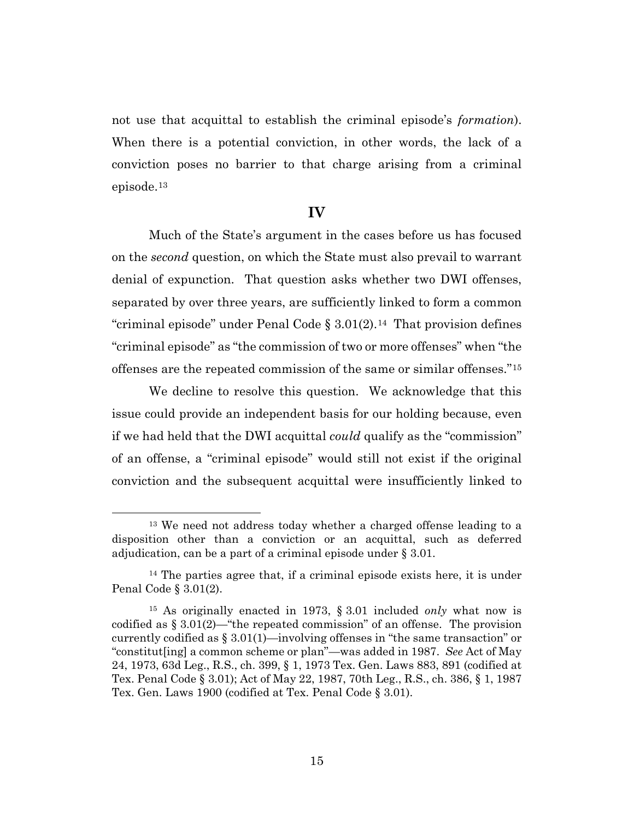not use that acquittal to establish the criminal episode's *formation*). When there is a potential conviction, in other words, the lack of a conviction poses no barrier to that charge arising from a criminal episode.13

#### **IV**

Much of the State's argument in the cases before us has focused on the *second* question, on which the State must also prevail to warrant denial of expunction. That question asks whether two DWI offenses, separated by over three years, are sufficiently linked to form a common "criminal episode" under Penal Code  $\S 3.01(2)$ .<sup>14</sup> That provision defines "criminal episode" as "the commission of two or more offenses" when "the offenses are the repeated commission of the same or similar offenses."15

We decline to resolve this question. We acknowledge that this issue could provide an independent basis for our holding because, even if we had held that the DWI acquittal *could* qualify as the "commission" of an offense, a "criminal episode" would still not exist if the original conviction and the subsequent acquittal were insufficiently linked to

<sup>&</sup>lt;sup>13</sup> We need not address today whether a charged offense leading to a disposition other than a conviction or an acquittal, such as deferred adjudication, can be a part of a criminal episode under § 3.01.

<sup>14</sup> The parties agree that, if a criminal episode exists here, it is under Penal Code § 3.01(2).

<sup>15</sup> As originally enacted in 1973, § 3.01 included *only* what now is codified as  $\S 3.01(2)$ —"the repeated commission" of an offense. The provision currently codified as § 3.01(1)—involving offenses in "the same transaction" or "constitut[ing] a common scheme or plan"—was added in 1987. *See* Act of May 24, 1973, 63d Leg., R.S., ch. 399, § 1, 1973 Tex. Gen. Laws 883, 891 (codified at Tex. Penal Code § 3.01); Act of May 22, 1987, 70th Leg., R.S., ch. 386, § 1, 1987 Tex. Gen. Laws 1900 (codified at Tex. Penal Code § 3.01).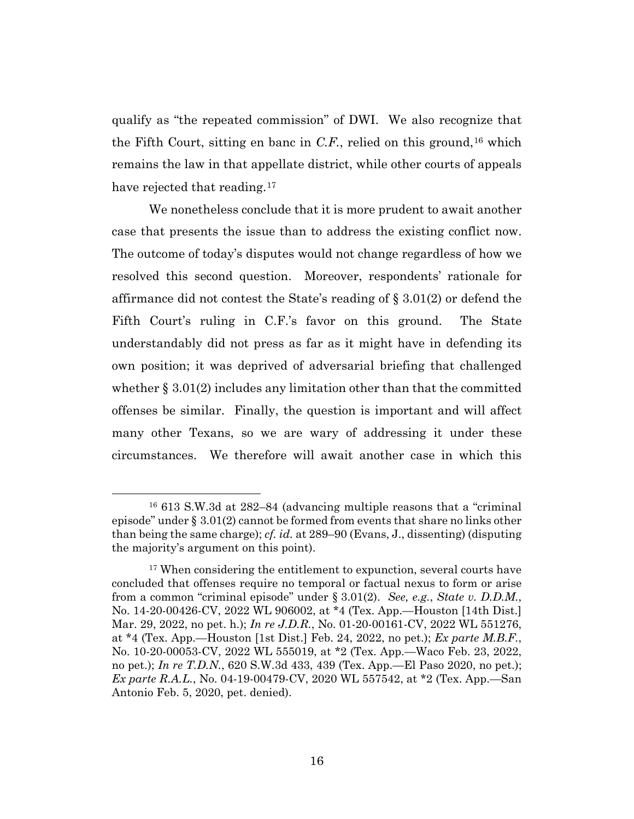qualify as "the repeated commission" of DWI. We also recognize that the Fifth Court, sitting en banc in  $C.F$ , relied on this ground,<sup>16</sup> which remains the law in that appellate district, while other courts of appeals have rejected that reading.<sup>17</sup>

We nonetheless conclude that it is more prudent to await another case that presents the issue than to address the existing conflict now. The outcome of today's disputes would not change regardless of how we resolved this second question. Moreover, respondents' rationale for affirmance did not contest the State's reading of § 3.01(2) or defend the Fifth Court's ruling in C.F.'s favor on this ground. The State understandably did not press as far as it might have in defending its own position; it was deprived of adversarial briefing that challenged whether  $\S 3.01(2)$  includes any limitation other than that the committed offenses be similar. Finally, the question is important and will affect many other Texans, so we are wary of addressing it under these circumstances. We therefore will await another case in which this

<sup>16</sup> 613 S.W.3d at 282–84 (advancing multiple reasons that a "criminal episode" under § 3.01(2) cannot be formed from events that share no links other than being the same charge); *cf. id.* at 289–90 (Evans, J., dissenting) (disputing the majority's argument on this point).

<sup>&</sup>lt;sup>17</sup> When considering the entitlement to expunction, several courts have concluded that offenses require no temporal or factual nexus to form or arise from a common "criminal episode" under § 3.01(2). *See, e.g.*, *State v. D.D.M.*, No. 14-20-00426-CV, 2022 WL 906002, at \*4 (Tex. App.—Houston [14th Dist.] Mar. 29, 2022, no pet. h.); *In re J.D.R.*, No. 01-20-00161-CV, 2022 WL 551276, at \*4 (Tex. App.—Houston [1st Dist.] Feb. 24, 2022, no pet.); *Ex parte M.B.F.*, No. 10-20-00053-CV, 2022 WL 555019, at \*2 (Tex. App.—Waco Feb. 23, 2022, no pet.); *In re T.D.N.*, 620 S.W.3d 433, 439 (Tex. App.—El Paso 2020, no pet.); *Ex parte R.A.L.*, No. 04-19-00479-CV, 2020 WL 557542, at \*2 (Tex. App.—San Antonio Feb. 5, 2020, pet. denied).